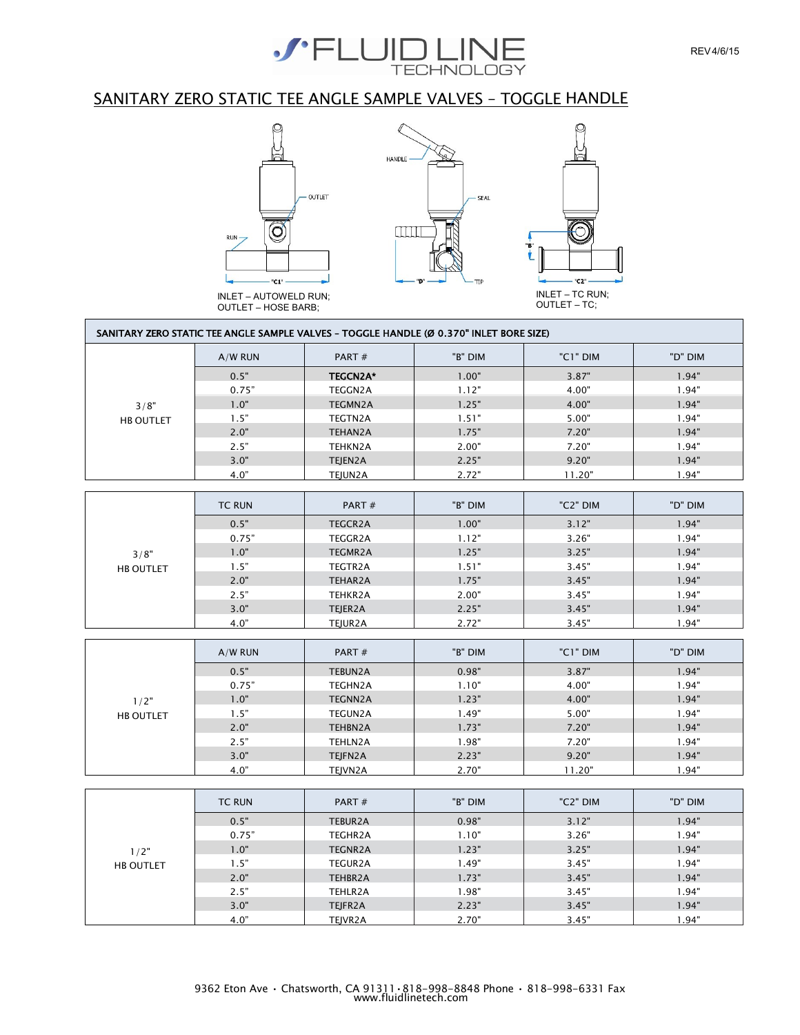

### SANITARY ZERO STATIC TEE ANGLE SAMPLE VALVES – TOGGLE HANDLE



OUTLET – HOSE BARB;

SANITARY ZERO STATIC TEE ANGLE SAMPLE VALVES – TOGGLE HANDLE (Ø 0.370" INLET BORE SIZE)

|                  | $A/W$ RUN     | PART#           | "B" DIM | "C1" DIM | "D" DIM |
|------------------|---------------|-----------------|---------|----------|---------|
|                  | 0.5"          | <b>TEGCN2A*</b> | 1.00"   | 3.87"    | 1.94"   |
|                  | 0.75"         | TEGGN2A         | 1.12"   | 4.00"    | 1.94"   |
| 3/8"             | 1.0"          | TEGMN2A         | 1.25"   | 4.00"    | 1.94"   |
| <b>HB OUTLET</b> | 1.5"          | TEGTN2A         | 1.51"   | 5.00"    | 1.94"   |
|                  | 2.0"          | <b>TEHAN2A</b>  | 1.75"   | 7.20"    | 1.94"   |
|                  | 2.5"          | TEHKN2A         | 2.00"   | 7.20"    | 1.94"   |
|                  | 3.0"          | TEJEN2A         | 2.25"   | 9.20"    | 1.94"   |
|                  | 4.0"          | TEJUN2A         | 2.72"   | 11.20"   | 1.94"   |
|                  |               |                 |         |          |         |
|                  | <b>TC RUN</b> | PART#           | "B" DIM | "C2" DIM | "D" DIM |
|                  | 0.5"          | <b>TEGCR2A</b>  | 1.00"   | 3.12"    | 1.94"   |
|                  | 0.75"         | TEGGR2A         | 1.12"   | 3.26"    | 1.94"   |
| 3/8"             | 1.0"          | TEGMR2A         | 1.25"   | 3.25"    | 1.94"   |
| <b>HB OUTLET</b> | 1.5"          | TEGTR2A         | 1.51"   | 3.45"    | 1.94"   |
|                  | 2.0"          | TEHAR2A         | 1.75"   | 3.45"    | 1.94"   |
|                  | 2.5"          | TEHKR2A         | 2.00"   | 3.45"    | 1.94"   |
|                  | 3.0"          | TEJER2A         | 2.25"   | 3.45"    | 1.94"   |
|                  | 4.0"          | TEJUR2A         | 2.72"   | 3.45"    | 1.94"   |
|                  |               |                 |         |          |         |
|                  | A/W RUN       | PART#           | "B" DIM | "C1" DIM | "D" DIM |
|                  | 0.5"          | TEBUN2A         | 0.98"   | 3.87"    | 1.94"   |
|                  | 0.75"         | TEGHN2A         | 1.10"   | 4.00"    | 1.94"   |
| 1/2"             | 1.0"          | <b>TEGNN2A</b>  | 1.23"   | 4.00"    | 1.94"   |
| <b>HB OUTLET</b> | 1.5"          | TEGUN2A         | 1.49"   | 5.00"    | 1.94"   |
|                  | 2.0"          | TEHBN2A         | 1.73"   | 7.20"    | 1.94"   |
|                  | 2.5"          | TEHLN2A         | 1.98"   | 7.20"    | 1.94"   |
|                  | 3.0"          | TEJFN2A         | 2.23"   | 9.20"    | 1.94"   |
|                  | 4.0"          | TEJVN2A         | 2.70"   | 11.20"   | 1.94"   |
|                  |               |                 |         |          |         |

|                  | <b>TC RUN</b> | PART $#$       | "B" DIM | "C2" DIM | "D" DIM |
|------------------|---------------|----------------|---------|----------|---------|
|                  | 0.5"          | TEBUR2A        | 0.98"   | 3.12"    | 1.94"   |
|                  | 0.75"         | TEGHR2A        | 1.10"   | 3.26"    | 1.94"   |
| 1/2"             | 1.0"          | <b>TEGNR2A</b> | 1.23"   | 3.25"    | 1.94"   |
| <b>HB OUTLET</b> | .5"           | TEGUR2A        | 1.49"   | 3.45"    | 1.94"   |
|                  | 2.0"          | TEHBR2A        | 1.73"   | 3.45"    | 1.94"   |
|                  | 2.5"          | TEHLR2A        | 1.98"   | 3.45"    | 1.94"   |
|                  | 3.0"          | TEJFR2A        | 2.23"   | 3.45"    | 1.94"   |
|                  | 4.0"          | TEJVR2A        | 2.70"   | 3.45"    | 1.94"   |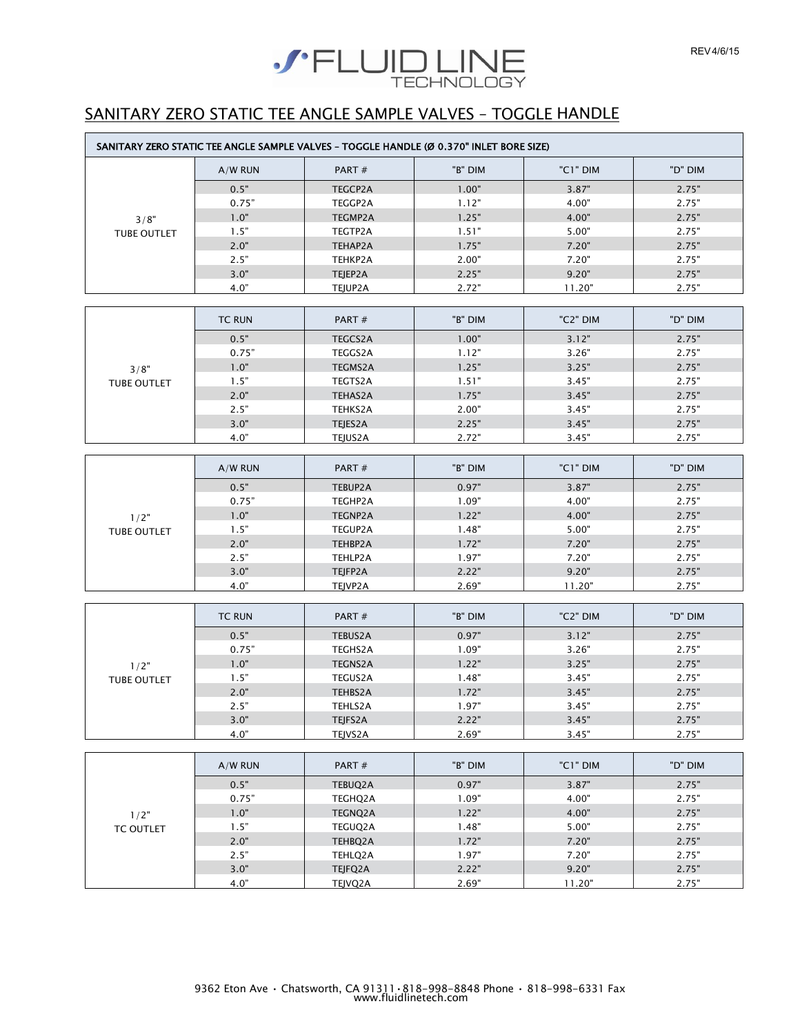

## SANITARY ZERO STATIC TEE ANGLE SAMPLE VALVES – TOGGLE HANDLE

|                    |               | SANITARY ZERO STATIC TEE ANGLE SAMPLE VALVES - TOGGLE HANDLE (Ø 0.370" INLET BORE SIZE) |                |                |                |
|--------------------|---------------|-----------------------------------------------------------------------------------------|----------------|----------------|----------------|
|                    | $A/W$ RUN     | PART#                                                                                   | "B" DIM        | "C1" DIM       | "D" DIM        |
|                    | 0.5"          | TEGCP2A                                                                                 | 1.00"          | 3.87"          | 2.75"          |
|                    | 0.75"         | TEGGP2A                                                                                 | 1.12"          | 4.00"          | 2.75"          |
| 3/8"               | 1.0"          | TEGMP2A                                                                                 | 1.25"          | 4.00"          | 2.75"          |
| <b>TUBE OUTLET</b> | 1.5"          | TEGTP2A                                                                                 | 1.51"          | 5.00"          | 2.75"          |
|                    | 2.0"          | TEHAP2A                                                                                 | 1.75"          | 7.20"          | 2.75"          |
|                    | 2.5"          | TEHKP2A                                                                                 | 2.00"          | 7.20"          | 2.75"          |
|                    | 3.0"          | TEJEP2A                                                                                 | 2.25"          | 9.20"          | 2.75"          |
|                    | 4.0"          | TEJUP2A                                                                                 | 2.72"          | 11.20"         | 2.75"          |
|                    |               |                                                                                         |                |                |                |
|                    | <b>TC RUN</b> | PART#                                                                                   | "B" DIM        | "C2" DIM       | "D" DIM        |
|                    | 0.5"          | <b>TEGCS2A</b>                                                                          | 1.00"          | 3.12"          | 2.75"          |
|                    | 0.75"         | <b>TEGGS2A</b>                                                                          | 1.12"          | 3.26"          | 2.75"          |
| 3/8"               | 1.0"          | <b>TEGMS2A</b>                                                                          | 1.25"          | 3.25"          | 2.75"          |
| <b>TUBE OUTLET</b> | 1.5"          | TEGTS2A                                                                                 | 1.51"          | 3.45"          | 2.75"          |
|                    | 2.0"          | <b>TEHAS2A</b>                                                                          | 1.75"          | 3.45"          | 2.75"          |
|                    | 2.5"          | TEHKS2A                                                                                 | 2.00"          | 3.45"          | 2.75"          |
|                    | 3.0"          | TEJES2A                                                                                 | 2.25"          | 3.45"          | 2.75"          |
|                    | 4.0"          | TEJUS2A                                                                                 | 2.72"          | 3.45"          | 2.75"          |
|                    | A/W RUN       | PART#                                                                                   | "B" DIM        | "C1" DIM       | "D" DIM        |
|                    |               |                                                                                         |                |                |                |
|                    | 0.5"          | TEBUP2A                                                                                 | 0.97"          | 3.87"          | 2.75"          |
|                    | 0.75"         | TEGHP2A                                                                                 | 1.09"          | 4.00"          | 2.75"          |
| 1/2"               | 1.0"          | <b>TEGNP2A</b>                                                                          | 1.22"          | 4.00"          | 2.75"          |
| TUBE OUTLET        | 1.5"          | TEGUP2A                                                                                 | 1.48"          | 5.00"          | 2.75"          |
|                    | 2.0"<br>2.5"  | TEHBP2A<br>TEHLP2A                                                                      | 1.72"<br>1.97" | 7.20"<br>7.20" | 2.75"<br>2.75" |
|                    | 3.0"          | TEJFP2A                                                                                 | 2.22"          | 9.20"          | 2.75"          |
|                    | 4.0"          | TEJVP2A                                                                                 | 2.69"          | 11.20"         | 2.75"          |
|                    |               |                                                                                         |                |                |                |
|                    | <b>TC RUN</b> | PART#                                                                                   | "B" DIM        | "C2" DIM       | "D" DIM        |
|                    | 0.5"          | TEBUS2A                                                                                 | 0.97"          | 3.12"          | 2.75"          |
|                    | 0.75"         | <b>TEGHS2A</b>                                                                          | 1.09"          | 3.26"          | 2.75"          |
| 1/2"               | 1.0"          | <b>TEGNS2A</b>                                                                          | 1.22"          | 3.25"          | 2.75"          |
| TUBE OUTLET        | 1.5"          | <b>TEGUS2A</b>                                                                          | 1.48"          | 3.45"          | 2.75"          |
|                    | 2.0"          | TEHBS2A                                                                                 | 1.72"          | 3.45"          | 2.75"          |
|                    | 2.5"          | TEHLS2A                                                                                 | 1.97"          | 3.45"          | 2.75"          |
|                    | 3.0"          | TEJFS2A                                                                                 | 2.22"          | 3.45"          | 2.75"          |
|                    | 4.0"          | TEJVS2A                                                                                 | 2.69"          | 3.45"          | 2.75"          |
|                    |               |                                                                                         |                |                |                |
|                    | $A$ /M/ DIINI | $DADT +$                                                                                | ים "פ"         | $"C1"$ DIM     | יח" "ח         |

|                  | $A/W$ RUN | PART $#$ | "B" DIM | "C1" DIM | "D" DIM |
|------------------|-----------|----------|---------|----------|---------|
|                  | 0.5"      | TEBUQ2A  | 0.97"   | 3.87"    | 2.75"   |
|                  | 0.75"     | TEGHQ2A  | 1.09"   | 4.00"    | 2.75"   |
| 1/2"             | 1.0"      | TEGNQ2A  | 1.22"   | 4.00"    | 2.75"   |
| <b>TC OUTLET</b> | 1.5"      | TEGUQ2A  | 1.48"   | 5.00"    | 2.75"   |
|                  | 2.0"      | TEHBQ2A  | 1.72"   | 7.20"    | 2.75"   |
|                  | 2.5"      | TEHLQ2A  | 1.97"   | 7.20"    | 2.75"   |
|                  | 3.0"      | TEJFQ2A  | 2.22"   | 9.20"    | 2.75"   |
|                  | 4.0"      | TEJVQ2A  | 2.69"   | 11.20"   | 2.75"   |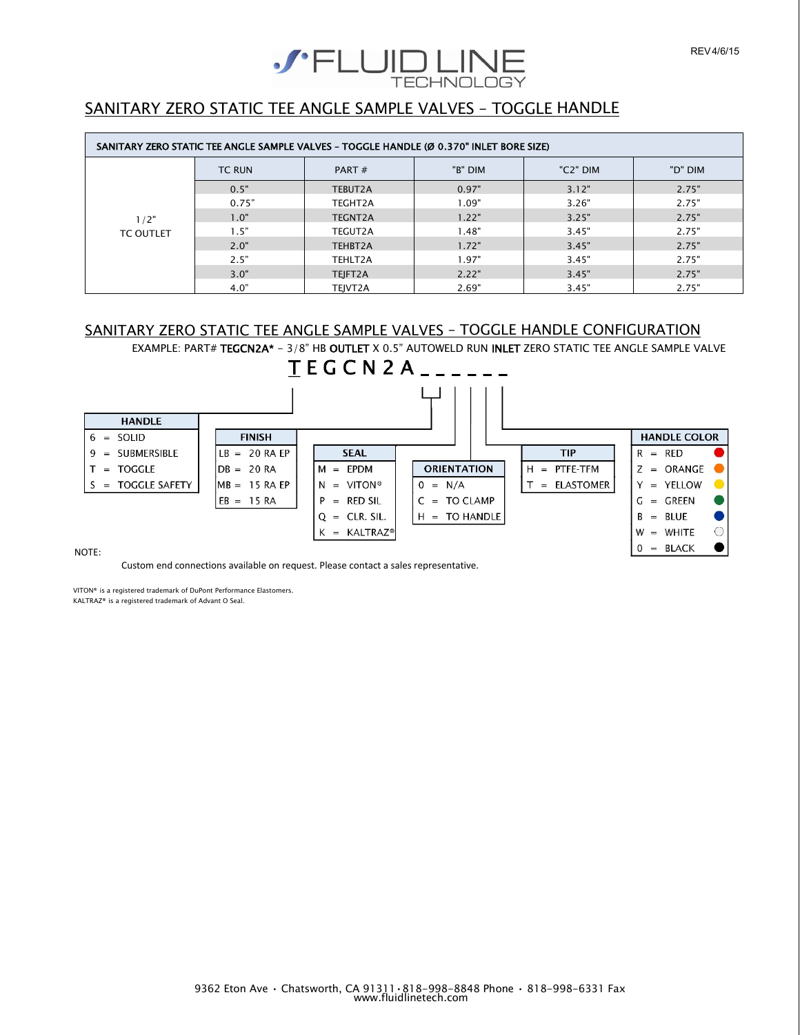

#### SANITARY ZERO STATIC TEE ANGLE SAMPLE VALVES – TOGGLE HANDLE

| SANITARY ZERO STATIC TEE ANGLE SAMPLE VALVES - TOGGLE HANDLE (Ø 0.370" INLET BORE SIZE) |               |                |         |          |         |
|-----------------------------------------------------------------------------------------|---------------|----------------|---------|----------|---------|
|                                                                                         | <b>TC RUN</b> | PART $#$       | "B" DIM | "C2" DIM | "D" DIM |
|                                                                                         | 0.5"          | TEBUT2A        | 0.97"   | 3.12"    | 2.75"   |
|                                                                                         | 0.75"         | TEGHT2A        | 1.09"   | 3.26"    | 2.75"   |
| 1/2"                                                                                    | 1.0"          | <b>TEGNT2A</b> | 1.22"   | 3.25"    | 2.75"   |
| <b>TC OUTLET</b>                                                                        | 1.5"          | TEGUT2A        | 1.48"   | 3.45"    | 2.75"   |
|                                                                                         | 2.0"          | TEHBT2A        | 1.72"   | 3.45"    | 2.75"   |
|                                                                                         | 2.5"          | TEHLT2A        | 1.97"   | 3.45"    | 2.75"   |
|                                                                                         | 3.0"          | TEJFT2A        | 2.22"   | 3.45"    | 2.75"   |
|                                                                                         | 4.0"          | TEJVT2A        | 2.69"   | 3.45"    | 2.75"   |

#### SANITARY ZERO STATIC TEE ANGLE SAMPLE VALVES – TOGGLE HANDLE CONFIGURATION

EXAMPLE: PART# TEGCN2A\* - 3/8" HB OUTLET X 0.5" AUTOWELD RUN INLET ZERO STATIC TEE ANGLE SAMPLE VALVE



NOTE:

Custom end connections available on request. Please contact a sales representative.

VITON® is a registered trademark of DuPont Performance Elastomers.

KALTRAZ® is a registered trademark of Advant O Seal.